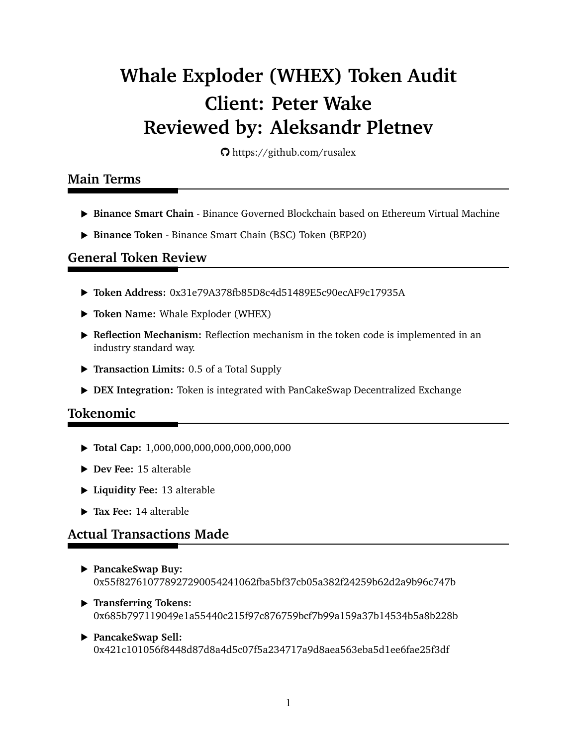# **Whale Exploder (WHEX) Token Audit Client: Peter Wake Reviewed by: Aleksandr Pletnev**

https://github.com/rusalex

#### **Main Terms**

- § **Binance Smart Chain** Binance Governed Blockchain based on Ethereum Virtual Machine
- § **Binance Token** Binance Smart Chain (BSC) Token (BEP20)

#### **General Token Review**

- § **Token Address:** 0x31e79A378fb85D8c4d51489E5c90ecAF9c17935A
- § **Token Name:** Whale Exploder (WHEX)
- ▶ Reflection Mechanism: Reflection mechanism in the token code is implemented in an industry standard way.
- § **Transaction Limits:** 0.5 of a Total Supply
- § **DEX Integration:** Token is integrated with PanCakeSwap Decentralized Exchange

## **Tokenomic**

- § **Total Cap:** 1,000,000,000,000,000,000,000
- § **Dev Fee:** 15 alterable
- § **Liquidity Fee:** 13 alterable
- § **Tax Fee:** 14 alterable

## **Actual Transactions Made**

- § **PancakeSwap Buy:** 0x55f827610778927290054241062fba5bf37cb05a382f24259b62d2a9b96c747b
- § **Transferring Tokens:** 0x685b797119049e1a55440c215f97c876759bcf7b99a159a37b14534b5a8b228b
- § **PancakeSwap Sell:** 0x421c101056f8448d87d8a4d5c07f5a234717a9d8aea563eba5d1ee6fae25f3df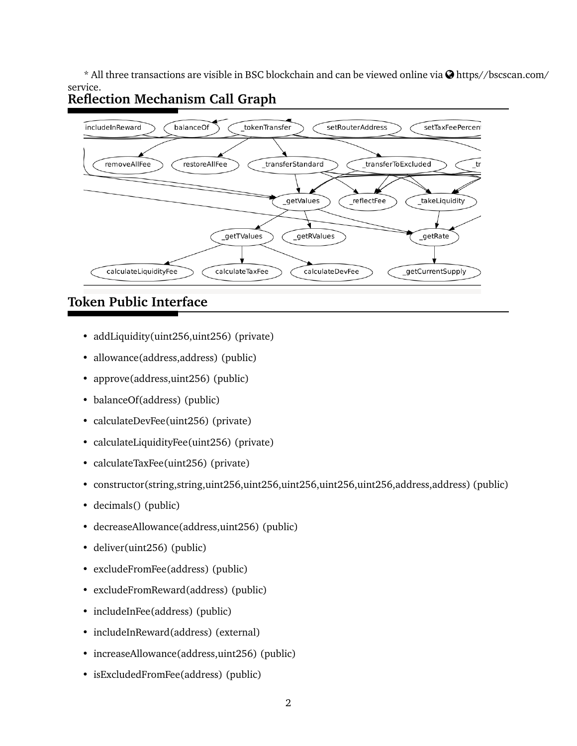$*$  All three transactions are visible in BSC blockchain and can be viewed online via  $\bigcirc$  https//bscscan.com/ service. **Reflection Mechanism Call Graph**



# **Token Public Interface**

- addLiquidity(uint256,uint256) (private)
- allowance(address,address) (public)
- approve(address,uint256) (public)
- balanceOf(address) (public)
- calculateDevFee(uint256) (private)
- calculateLiquidityFee(uint256) (private)
- calculateTaxFee(uint256) (private)
- constructor(string,string,uint256,uint256,uint256,uint256,uint256,address,address) (public)
- decimals() (public)
- decreaseAllowance(address,uint256) (public)
- deliver(uint256) (public)
- excludeFromFee(address) (public)
- excludeFromReward(address) (public)
- includeInFee(address) (public)
- includeInReward(address) (external)
- increaseAllowance(address,uint256) (public)
- isExcludedFromFee(address) (public)